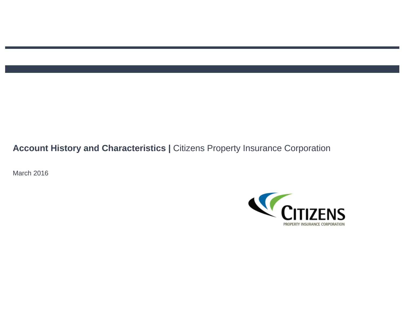**Account History and Characteristics |** Citizens Property Insurance Corporation

March 2016

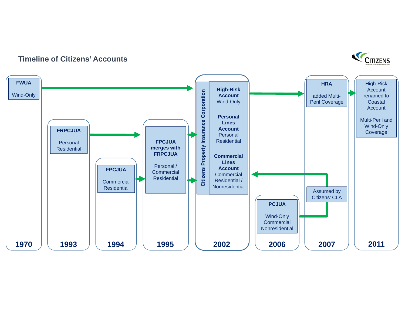

### **Timeline of Citizens' Accounts**

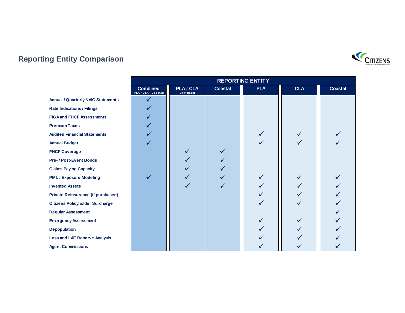

# **Reporting Entity Comparison**

|                                           | <b>REPORTING ENTITY</b>                  |                              |                |            |            |                |  |  |
|-------------------------------------------|------------------------------------------|------------------------------|----------------|------------|------------|----------------|--|--|
|                                           | <b>Combined</b><br>(PLA / CLA / Coastal) | <b>PLA/CLA</b><br>(Combined) | <b>Coastal</b> | <b>PLA</b> | <b>CLA</b> | <b>Coastal</b> |  |  |
| <b>Annual / Quarterly NAIC Statements</b> |                                          |                              |                |            |            |                |  |  |
| <b>Rate Indications / Filings</b>         |                                          |                              |                |            |            |                |  |  |
| <b>FIGA and FHCF Assessments</b>          |                                          |                              |                |            |            |                |  |  |
| <b>Premium Taxes</b>                      |                                          |                              |                |            |            |                |  |  |
| <b>Audited Financial Statements</b>       |                                          |                              |                |            |            |                |  |  |
| <b>Annual Budget</b>                      |                                          |                              |                |            |            |                |  |  |
| <b>FHCF Coverage</b>                      |                                          |                              |                |            |            |                |  |  |
| <b>Pre- / Post-Event Bonds</b>            |                                          |                              |                |            |            |                |  |  |
| <b>Claims Paying Capacity</b>             |                                          |                              |                |            |            |                |  |  |
| <b>PML / Exposure Modeling</b>            |                                          |                              |                |            |            |                |  |  |
| <b>Invested Assets</b>                    |                                          |                              |                |            |            |                |  |  |
| <b>Private Reinsurance (if purchased)</b> |                                          |                              |                |            |            |                |  |  |
| <b>Citizens Policyholder Surcharge</b>    |                                          |                              |                |            |            |                |  |  |
| <b>Regular Assessment</b>                 |                                          |                              |                |            |            |                |  |  |
| <b>Emergency Assessment</b>               |                                          |                              |                |            |            |                |  |  |
| <b>Depopulation</b>                       |                                          |                              |                |            |            |                |  |  |
| <b>Loss and LAE Reserve Analysis</b>      |                                          |                              |                |            |            |                |  |  |
| <b>Agent Commissions</b>                  |                                          |                              |                |            |            |                |  |  |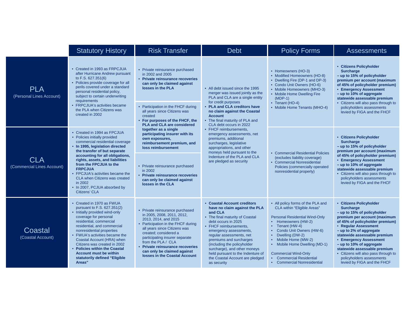|                                          | <b>Statutory History</b>                                                                                                                                                                                                                                                                                                                                                                                                           | <b>Risk Transfer</b>                                                                                                                                                                                                                                                                                                                                    | <b>Debt</b>                                                                                                                                                                                                                                                                                                                                                                                        | <b>Policy Forms</b>                                                                                                                                                                                                                                                                                                                                                                                                  | <b>Assessments</b>                                                                                                                                                                                                                                                                                                                                                                                                               |
|------------------------------------------|------------------------------------------------------------------------------------------------------------------------------------------------------------------------------------------------------------------------------------------------------------------------------------------------------------------------------------------------------------------------------------------------------------------------------------|---------------------------------------------------------------------------------------------------------------------------------------------------------------------------------------------------------------------------------------------------------------------------------------------------------------------------------------------------------|----------------------------------------------------------------------------------------------------------------------------------------------------------------------------------------------------------------------------------------------------------------------------------------------------------------------------------------------------------------------------------------------------|----------------------------------------------------------------------------------------------------------------------------------------------------------------------------------------------------------------------------------------------------------------------------------------------------------------------------------------------------------------------------------------------------------------------|----------------------------------------------------------------------------------------------------------------------------------------------------------------------------------------------------------------------------------------------------------------------------------------------------------------------------------------------------------------------------------------------------------------------------------|
| <b>PLA</b><br>(Personal Lines Account)   | • Created in 1993 as FRPCJUA<br>after Hurricane Andrew pursuant<br>to F.S. 627.351(6)<br>• Policies provide coverage for all<br>perils covered under a standard<br>personal residential policy,<br>subject to certain underwriting<br>requirements<br>• FRPCJUA's activities became<br>the PLA when Citizens was<br>created in 2002                                                                                                | • Private reinsurance purchased<br>in 2002 and 2005<br>• Private reinsurance recoveries<br>can only be claimed against<br>losses in the PLA<br>• Participation in the FHCF during<br>all years since Citizens was<br>created<br>• For purposes of the FHCF, the<br><b>PLA and CLA are considered</b>                                                    | • All debt issued since the 1995<br>merger was issued jointly as the<br>PLA and CLA are a single entity<br>for credit purposes<br>• PLA and CLA creditors have<br>no claim against the Coastal<br><b>Account</b><br>• The final maturity of PLA and<br>CLA debt occurs in 2022                                                                                                                     | • Homeowners (HO-3)<br>• Modified Homeowners (HO-8)<br>• Dwelling Fire (DP-1 and DP-3)<br>• Condo Unit Owners (HO-6)<br>• Mobile Homeowners (MHO-3)<br>• Mobile Home Dwelling Fire<br>$(MDP-1)$<br>• Tenant (HO-4)<br>• Mobile Home Tenants (MHO-4)                                                                                                                                                                  | • Citizens Policyholder<br><b>Surcharge</b><br>- up to 15% of policyholder<br>premium per account (maximum<br>of 45% of policyholder premium)<br>• Emergency Assessment<br>$-$ up to 10% of aggregate<br>statewide assessable premium<br>• Citizens will also pass through to<br>policyholders assessments<br>levied by FIGA and the FHCF                                                                                        |
| <b>CLA</b><br>(Commercial Lines Account) | • Created in 1994 as FPCJUA<br>• Policies initially provided<br>commercial residential coverage<br>• In 1995, legislation directed<br>the transfer of but separate<br>accounting for all obligations,<br>rights, assets, and liabilities<br>from the FPCJUA to the<br><b>FRPCJUA</b><br>• FPCJUA's activities became the<br>CLA when Citizens was created<br>in 2002<br>• In 2007, PCJUA absorbed by<br>Citizens' CLA              | together as a single<br>participating insurer with its<br>own exposures,<br>reimbursement premium, and<br>loss reimbursement<br>• Private reinsurance purchased<br>in 2002<br>• Private reinsurance recoveries<br>can only be claimed against<br>losses in the CLA                                                                                      | • FHCF reimbursements.<br>emergency assessments, net<br>premiums, additional<br>surcharges, legislative<br>appropriations, and other<br>moneys held pursuant to the<br>Indenture of the PLA and CLA<br>are pledged as security                                                                                                                                                                     | • Commercial Residential Policies<br>(excludes liability coverage)<br>• Commercial Nonresidential<br>Policies (commercially operated<br>nonresidential property)                                                                                                                                                                                                                                                     | • Citizens Policyholder<br><b>Surcharge</b><br>- up to 15% of policyholder<br>premium per account (maximum<br>of 45% of policyholder premium)<br>• Emergency Assessment<br>- up to 10% of aggregate<br>statewide assessable premium<br>• Citizens will also pass through to<br>policyholders assessments<br>levied by FIGA and the FHCF                                                                                          |
| Coastal<br>(Coastal Account)             | • Created in 1970 as FWUA<br>pursuant to F.S. 627.351(2)<br>• Initially provided wind-only<br>coverage for personal<br>residential, commercial<br>residential, and commercial<br>nonresidential properties<br>FWUA's activities became the<br>$\bullet$<br>Coastal Account (HRA) when<br>Citizens was created in 2002<br>• Policies within the Coastal<br><b>Account must be within</b><br>statutorily defined "Eligible<br>Areas" | • Private reinsurance purchased<br>in 2005, 2008, 2011, 2012,<br>2013, 2014, and 2015<br>• Participation in the FHCF during<br>all years since Citizens was<br>created; considered a<br>participating insurer separate<br>from the PLA / CLA<br>• Private reinsurance recoveries<br>can only be claimed against<br><b>losses in the Coastal Account</b> | • Coastal Account creditors<br>have no claim against the PLA<br>and CLA<br>• The final maturity of Coastal<br>debt occurs in 2025<br>• FHCF reimbursements.<br>emergency assessments,<br>regular assessments, net<br>premiums and surcharges<br>(including the policyholder<br>surcharge), and other moneys<br>held pursuant to the Indenture of<br>the Coastal Account are pledged<br>as security | • All policy forms of the PLA and<br><b>CLA within "Eligible Areas"</b><br><b>Personal Residential Wind-Only</b><br>• Homeowners (HW-2)<br>Tenant (HW-4)<br>Condo Unit Owners (HW-6)<br>$\bullet$<br>Dwelling (DW-2)<br>$\bullet$<br>Mobile Home (MW-2)<br>$\bullet$<br>Mobile Home Dwelling (MD-1)<br>٠<br><b>Commercial Wind-Only</b><br><b>Commercial Residential</b><br>$\bullet$<br>• Commercial Nonresidential | • Citizens Policyholder<br><b>Surcharge</b><br>$-$ up to 15% of policyholder<br>premium per account (maximum<br>of 45% of policyholder premium)<br>• Regular Assessment<br>$-$ up to 2% of aggregate<br>statewide assessable premium<br>• Emergency Assessment<br>$-$ up to 10% of aggregate<br>statewide assessable premium<br>• Citizens will also pass through to<br>policyholders assessments<br>levied by FIGA and the FHCF |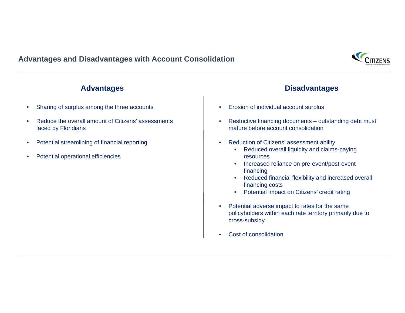### **Advantages and Disadvantages with Account Consolidation**



- •Sharing of surplus among the three accounts
- • Reduce the overall amount of Citizens' assessments faced by Floridians
- $\bullet$ Potential streamlining of financial reporting
- •Potential operational efficiencies

## **Advantages Disadvantages**

- •Erosion of individual account surplus
- • Restrictive financing documents – outstanding debt must mature before account consolidation
- • Reduction of Citizens' assessment ability
	- • Reduced overall liquidity and claims-paying resources
	- Increased reliance on pre-event/post-event financing
	- Reduced financial flexibility and increased overall financing costs
	- •Potential impact on Citizens' credit rating
- • Potential adverse impact to rates for the same policyholders within each rate territory primarily due to cross-subsidy
- •Cost of consolidation